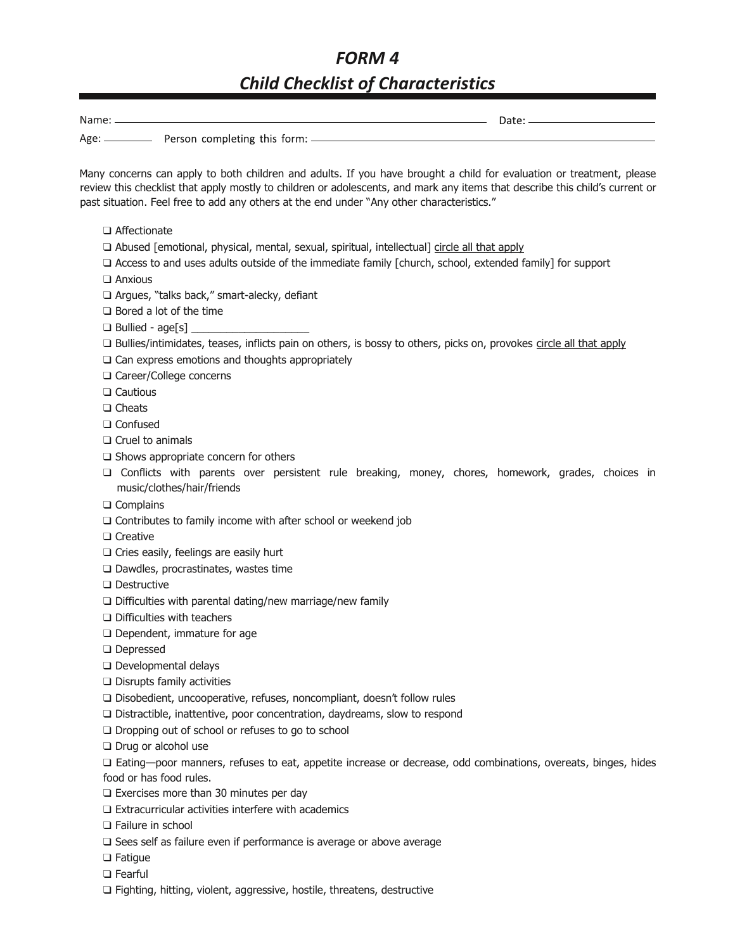## *FORM 4 Child Checklist of Characteristics*

| Many concerns can apply to both children and adults. If you have brought a child for evaluation or treatment, please<br>review this checklist that apply mostly to children or adolescents, and mark any items that describe this child's current or<br>past situation. Feel free to add any others at the end under "Any other characteristics." |
|---------------------------------------------------------------------------------------------------------------------------------------------------------------------------------------------------------------------------------------------------------------------------------------------------------------------------------------------------|
| $\Box$ Affectionate                                                                                                                                                                                                                                                                                                                               |
| □ Abused [emotional, physical, mental, sexual, spiritual, intellectual] circle all that apply                                                                                                                                                                                                                                                     |
| $\Box$ Access to and uses adults outside of the immediate family [church, school, extended family] for support                                                                                                                                                                                                                                    |
| $\Box$ Anxious                                                                                                                                                                                                                                                                                                                                    |
| □ Argues, "talks back," smart-alecky, defiant                                                                                                                                                                                                                                                                                                     |
| $\Box$ Bored a lot of the time                                                                                                                                                                                                                                                                                                                    |
|                                                                                                                                                                                                                                                                                                                                                   |
| □ Bullies/intimidates, teases, inflicts pain on others, is bossy to others, picks on, provokes circle all that apply                                                                                                                                                                                                                              |
| $\Box$ Can express emotions and thoughts appropriately                                                                                                                                                                                                                                                                                            |
| □ Career/College concerns                                                                                                                                                                                                                                                                                                                         |
| $\Box$ Cautious                                                                                                                                                                                                                                                                                                                                   |
| $\Box$ Cheats                                                                                                                                                                                                                                                                                                                                     |
| $\Box$ Confused                                                                                                                                                                                                                                                                                                                                   |
| $\Box$ Cruel to animals                                                                                                                                                                                                                                                                                                                           |
| $\Box$ Shows appropriate concern for others                                                                                                                                                                                                                                                                                                       |
| □ Conflicts with parents over persistent rule breaking, money, chores, homework, grades, choices in<br>music/clothes/hair/friends                                                                                                                                                                                                                 |
| $\Box$ Complains                                                                                                                                                                                                                                                                                                                                  |
| $\Box$ Contributes to family income with after school or weekend job                                                                                                                                                                                                                                                                              |
| $\Box$ Creative                                                                                                                                                                                                                                                                                                                                   |
| $\Box$ Cries easily, feelings are easily hurt                                                                                                                                                                                                                                                                                                     |
| $\square$ Dawdles, procrastinates, wastes time                                                                                                                                                                                                                                                                                                    |
| $\square$ Destructive                                                                                                                                                                                                                                                                                                                             |
| $\Box$ Difficulties with parental dating/new marriage/new family                                                                                                                                                                                                                                                                                  |
| $\Box$ Difficulties with teachers                                                                                                                                                                                                                                                                                                                 |
| $\Box$ Dependent, immature for age<br><b>CONTRACTOR</b>                                                                                                                                                                                                                                                                                           |
|                                                                                                                                                                                                                                                                                                                                                   |

- ❑ Depressed
- ❑ Developmental delays
- ❑ Disrupts family activities
- ❑ Disobedient, uncooperative, refuses, noncompliant, doesn't follow rules
- ❑ Distractible, inattentive, poor concentration, daydreams, slow to respond
- ❑ Dropping out of school or refuses to go to school
- ❑ Drug or alcohol use

❑ Eating—poor manners, refuses to eat, appetite increase or decrease, odd combinations, overeats, binges, hides food or has food rules.

- ❑ Exercises more than 30 minutes per day
- ❑ Extracurricular activities interfere with academics
- ❑ Failure in school
- ❑ Sees self as failure even if performance is average or above average
- ❑ Fatigue
- ❑ Fearful
- ❑ Fighting, hitting, violent, aggressive, hostile, threatens, destructive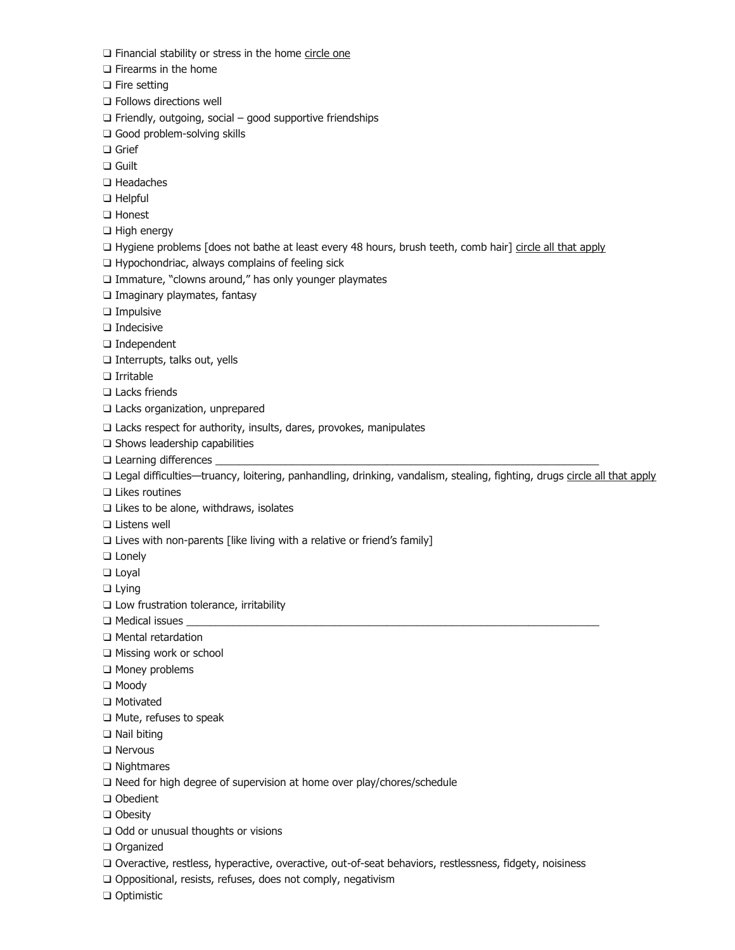□ Financial stability or stress in the home circle one

❑ Firearms in the home

❑ Fire setting

❑ Follows directions well

❑ Friendly, outgoing, social – good supportive friendships

❑ Good problem-solving skills

❑ Grief

❑ Guilt

❑ Headaches

❑ Helpful

❑ Honest

❑ High energy

❑ Hygiene problems [does not bathe at least every 48 hours, brush teeth, comb hair] circle all that apply

❑ Hypochondriac, always complains of feeling sick

❑ Immature, "clowns around," has only younger playmates

❑ Imaginary playmates, fantasy

❑ Impulsive

❑ Indecisive

❑ Independent

❑ Interrupts, talks out, yells

❑ Irritable

❑ Lacks friends

❑ Lacks organization, unprepared

❑ Lacks respect for authority, insults, dares, provokes, manipulates

❑ Shows leadership capabilities

 $\Box$  Learning differences  $\_$ 

❑ Legal difficulties—truancy, loitering, panhandling, drinking, vandalism, stealing, fighting, drugs circle all that apply

❑ Likes routines

❑ Likes to be alone, withdraws, isolates

❑ Listens well

□ Lives with non-parents [like living with a relative or friend's family]

❑ Lonely

❑ Loyal

❑ Lying

❑ Low frustration tolerance, irritability

 $\Box$  Medical issues

❑ Mental retardation

❑ Missing work or school

❑ Money problems

❑ Moody

❑ Motivated

❑ Mute, refuses to speak

❑ Nail biting

❑ Nervous

❑ Nightmares

❑ Need for high degree of supervision at home over play/chores/schedule

❑ Obedient

❑ Obesity

❑ Odd or unusual thoughts or visions

❑ Organized

❑ Overactive, restless, hyperactive, overactive, out-of-seat behaviors, restlessness, fidgety, noisiness

□ Oppositional, resists, refuses, does not comply, negativism

❑ Optimistic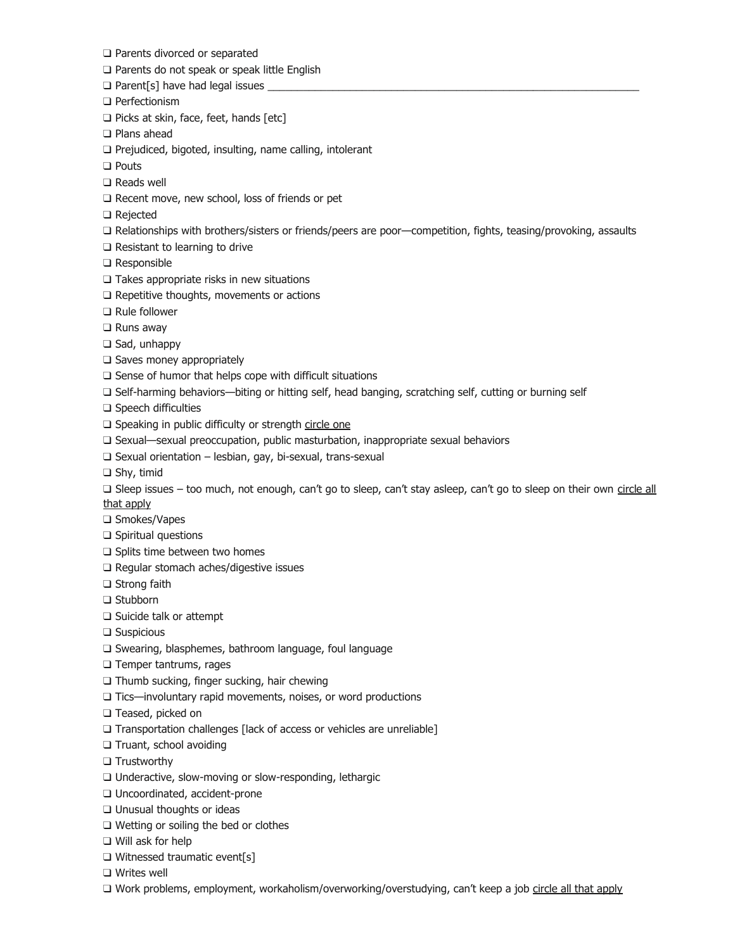- ❑ Parents divorced or separated
- ❑ Parents do not speak or speak little English
- □ Parent[s] have had legal issues
- ❑ Perfectionism
- ❑ Picks at skin, face, feet, hands [etc]
- ❑ Plans ahead
- ❑ Prejudiced, bigoted, insulting, name calling, intolerant
- ❑ Pouts
- ❑ Reads well
- ❑ Recent move, new school, loss of friends or pet
- ❑ Rejected
- ❑ Relationships with brothers/sisters or friends/peers are poor—competition, fights, teasing/provoking, assaults
- ❑ Resistant to learning to drive
- ❑ Responsible
- ❑ Takes appropriate risks in new situations
- ❑ Repetitive thoughts, movements or actions
- ❑ Rule follower
- ❑ Runs away
- ❑ Sad, unhappy
- ❑ Saves money appropriately
- ❑ Sense of humor that helps cope with difficult situations
- ❑ Self-harming behaviors—biting or hitting self, head banging, scratching self, cutting or burning self
- ❑ Speech difficulties
- □ Speaking in public difficulty or strength circle one
- ❑ Sexual—sexual preoccupation, public masturbation, inappropriate sexual behaviors
- ❑ Sexual orientation lesbian, gay, bi-sexual, trans-sexual
- ❑ Shy, timid
- □ Sleep issues too much, not enough, can't go to sleep, can't stay asleep, can't go to sleep on their own circle all that apply
- ❑ Smokes/Vapes
- ❑ Spiritual questions
- ❑ Splits time between two homes
- ❑ Regular stomach aches/digestive issues
- ❑ Strong faith
- ❑ Stubborn
- ❑ Suicide talk or attempt
- ❑ Suspicious
- ❑ Swearing, blasphemes, bathroom language, foul language
- ❑ Temper tantrums, rages
- ❑ Thumb sucking, finger sucking, hair chewing
- ❑ Tics—involuntary rapid movements, noises, or word productions
- ❑ Teased, picked on
- ❑ Transportation challenges [lack of access or vehicles are unreliable]
- ❑ Truant, school avoiding
- ❑ Trustworthy
- ❑ Underactive, slow-moving or slow-responding, lethargic
- ❑ Uncoordinated, accident-prone
- ❑ Unusual thoughts or ideas
- ❑ Wetting or soiling the bed or clothes
- ❑ Will ask for help
- ❑ Witnessed traumatic event[s]
- ❑ Writes well
- □ Work problems, employment, workaholism/overworking/overstudying, can't keep a job circle all that apply